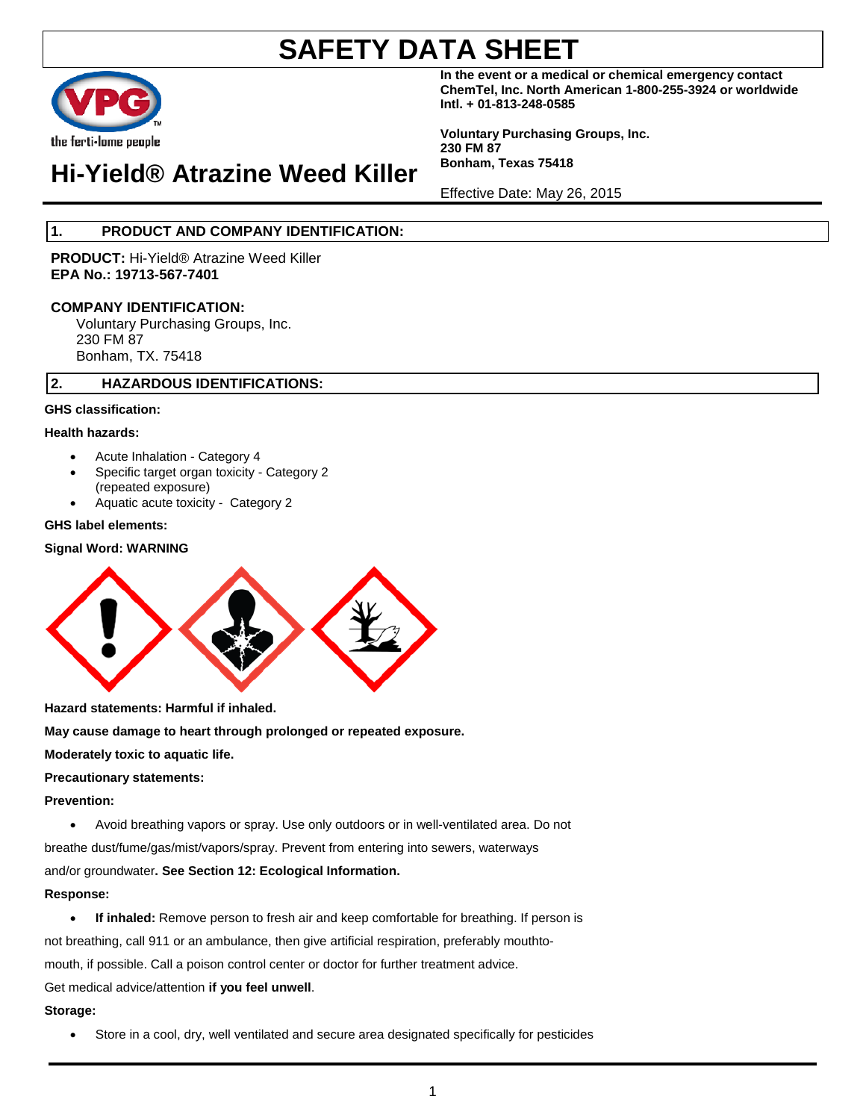

**In the event or a medical or chemical emergency contact ChemTel, Inc. North American 1-800-255-3924 or worldwide Intl. + 01-813-248-0585**

**Voluntary Purchasing Groups, Inc. 230 FM 87 Bonham, Texas 75418**

Effective Date: May 26, 2015

**Hi-Yield® Atrazine Weed Killer**

### **1. PRODUCT AND COMPANY IDENTIFICATION:**

**PRODUCT:** Hi-Yield® Atrazine Weed Killer **EPA No.: 19713-567-7401**

#### **COMPANY IDENTIFICATION:**

Voluntary Purchasing Groups, Inc. 230 FM 87 Bonham, TX. 75418

#### **2. HAZARDOUS IDENTIFICATIONS:**

#### **GHS classification:**

#### **Health hazards:**

- Acute Inhalation Category 4
- Specific target organ toxicity Category 2 (repeated exposure)
- Aquatic acute toxicity Category 2

#### **GHS label elements:**

#### **Signal Word: WARNING**



**Hazard statements: Harmful if inhaled.**

**May cause damage to heart through prolonged or repeated exposure.**

#### **Moderately toxic to aquatic life.**

#### **Precautionary statements:**

#### **Prevention:**

• Avoid breathing vapors or spray. Use only outdoors or in well-ventilated area. Do not breathe dust/fume/gas/mist/vapors/spray. Prevent from entering into sewers, waterways and/or groundwater**. See Section 12: Ecological Information.**

#### **Response:**

• **If inhaled:** Remove person to fresh air and keep comfortable for breathing. If person is not breathing, call 911 or an ambulance, then give artificial respiration, preferably mouthtomouth, if possible. Call a poison control center or doctor for further treatment advice. Get medical advice/attention **if you feel unwell**.

#### **Storage:**

• Store in a cool, dry, well ventilated and secure area designated specifically for pesticides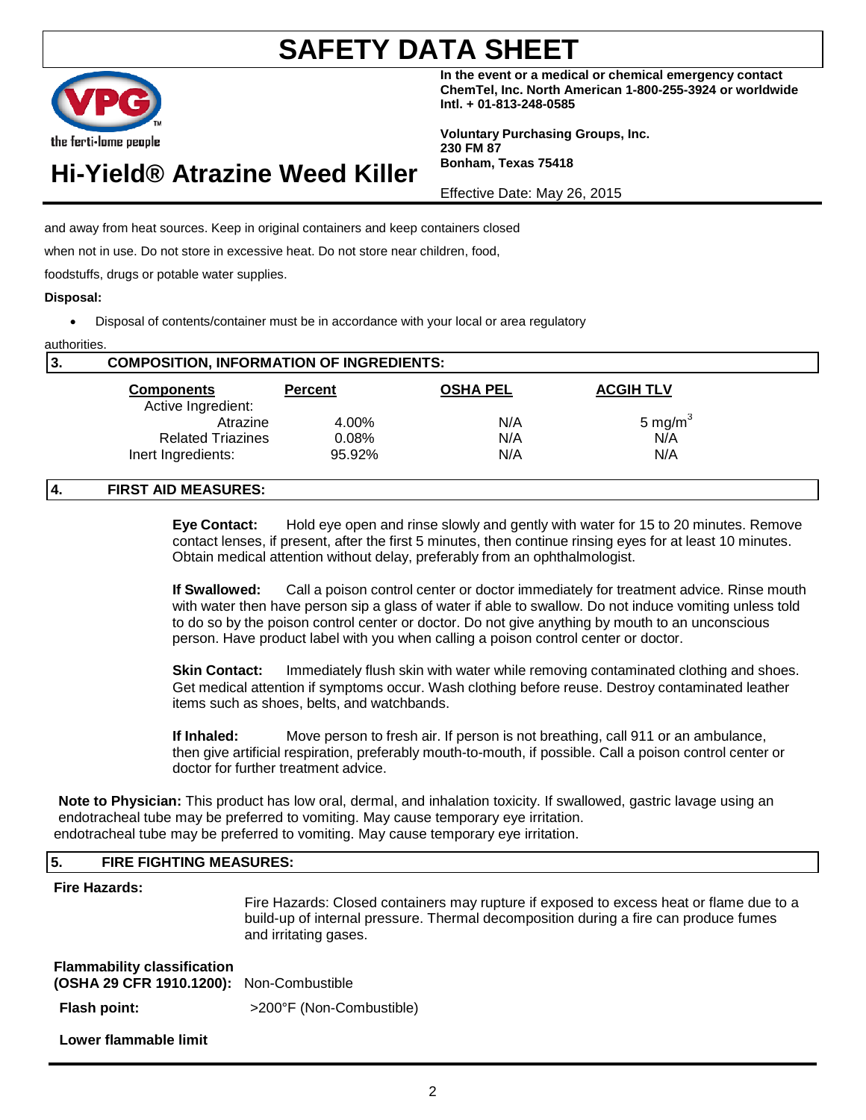2

# **SAFETY DATA SHEET**

**In the event or a medical or chemical emergency contact ChemTel, Inc. North American 1-800-255-3924 or worldwide Intl. + 01-813-248-0585**

**Voluntary Purchasing Groups, Inc. 230 FM 87 Bonham, Texas 75418**

Effective Date: May 26, 2015

and away from heat sources. Keep in original containers and keep containers closed

when not in use. Do not store in excessive heat. Do not store near children, food,

foodstuffs, drugs or potable water supplies.

#### **Disposal:**

• Disposal of contents/container must be in accordance with your local or area regulatory

| 3. | <b>COMPOSITION, INFORMATION OF INGREDIENTS:</b> |                |                 |                  |  |
|----|-------------------------------------------------|----------------|-----------------|------------------|--|
|    | <b>Components</b>                               | <b>Percent</b> | <b>OSHA PEL</b> | <b>ACGIH TLV</b> |  |
|    | Active Ingredient:                              |                |                 |                  |  |
|    | Atrazine                                        | 4.00%          | N/A             | 5 mg/m $3$       |  |
|    | <b>Related Triazines</b>                        | 0.08%          | N/A             | N/A              |  |
|    | Inert Ingredients:                              | 95.92%         | N/A             | N/A              |  |

#### **4. FIRST AID MEASURES:**

**Eye Contact:** Hold eye open and rinse slowly and gently with water for 15 to 20 minutes. Remove contact lenses, if present, after the first 5 minutes, then continue rinsing eyes for at least 10 minutes. Obtain medical attention without delay, preferably from an ophthalmologist.

**If Swallowed:** Call a poison control center or doctor immediately for treatment advice. Rinse mouth with water then have person sip a glass of water if able to swallow. Do not induce vomiting unless told to do so by the poison control center or doctor. Do not give anything by mouth to an unconscious person. Have product label with you when calling a poison control center or doctor.

**Skin Contact:** Immediately flush skin with water while removing contaminated clothing and shoes. Get medical attention if symptoms occur. Wash clothing before reuse. Destroy contaminated leather items such as shoes, belts, and watchbands.

**If Inhaled:** Move person to fresh air. If person is not breathing, call 911 or an ambulance, then give artificial respiration, preferably mouth-to-mouth, if possible. Call a poison control center or doctor for further treatment advice.

**Note to Physician:** This product has low oral, dermal, and inhalation toxicity. If swallowed, gastric lavage using an endotracheal tube may be preferred to vomiting. May cause temporary eye irritation. endotracheal tube may be preferred to vomiting. May cause temporary eye irritation.

#### **5. FIRE FIGHTING MEASURES:**

#### **Fire Hazards:**

Fire Hazards: Closed containers may rupture if exposed to excess heat or flame due to a build-up of internal pressure. Thermal decomposition during a fire can produce fumes and irritating gases.

| <b>Flammability classification</b><br>(OSHA 29 CFR 1910.1200): Non-Combustible |                          |
|--------------------------------------------------------------------------------|--------------------------|
| <b>Flash point:</b>                                                            | >200°F (Non-Combustible) |
| . In the company of the company of the first of the set of the                 |                          |

**Lower flammable limit**



| e ferti•lome peaple |                                            |  |
|---------------------|--------------------------------------------|--|
|                     | <del>l</del> i-Yield® Atrazine Weed Killer |  |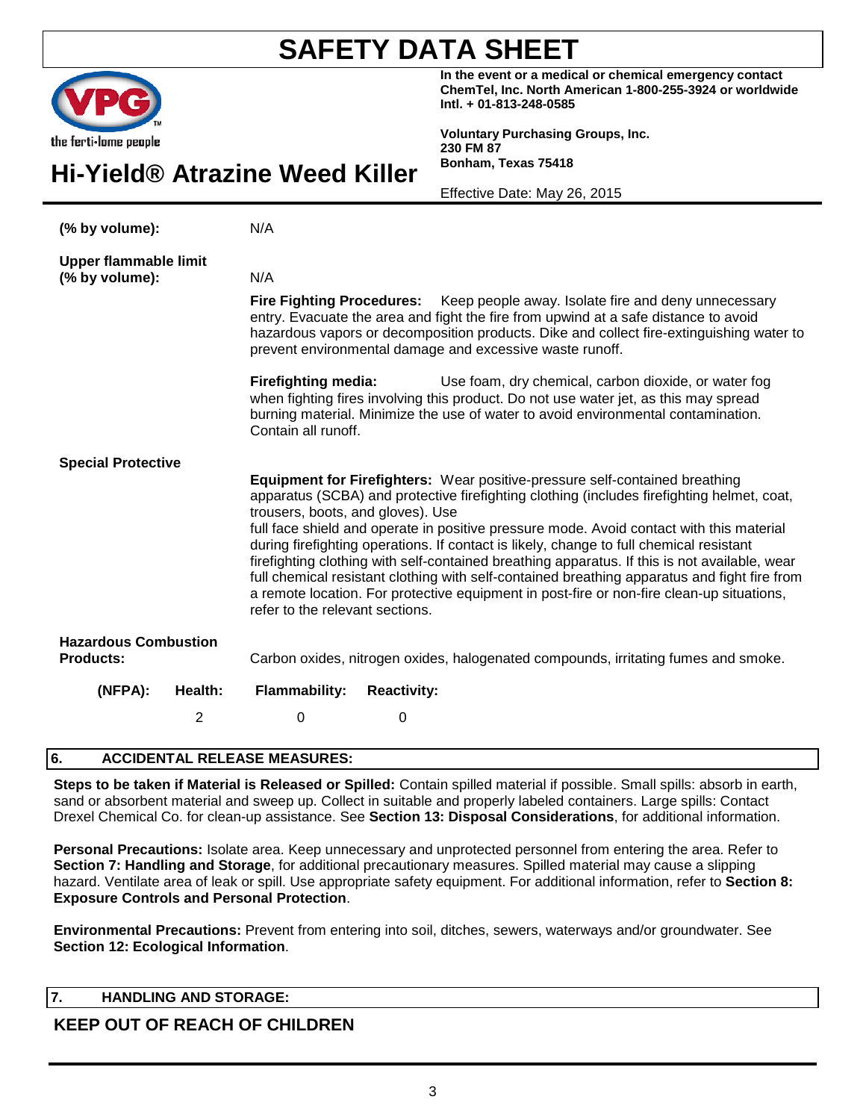|                                                 |                                                                      | In the event or a medical or chemical emergency contact<br>ChemTel, Inc. North American 1-800-255-3924 or worldwide<br>Intl. + 01-813-248-0585                                                                                                                                                                                                                                                                                                                                                                                                                                                                                                                        |
|-------------------------------------------------|----------------------------------------------------------------------|-----------------------------------------------------------------------------------------------------------------------------------------------------------------------------------------------------------------------------------------------------------------------------------------------------------------------------------------------------------------------------------------------------------------------------------------------------------------------------------------------------------------------------------------------------------------------------------------------------------------------------------------------------------------------|
| the ferti-lome people                           | Hi-Yield® Atrazine Weed Killer                                       | <b>Voluntary Purchasing Groups, Inc.</b><br>230 FM 87<br>Bonham, Texas 75418                                                                                                                                                                                                                                                                                                                                                                                                                                                                                                                                                                                          |
|                                                 |                                                                      | Effective Date: May 26, 2015                                                                                                                                                                                                                                                                                                                                                                                                                                                                                                                                                                                                                                          |
| (% by volume):                                  | N/A                                                                  |                                                                                                                                                                                                                                                                                                                                                                                                                                                                                                                                                                                                                                                                       |
| <b>Upper flammable limit</b><br>(% by volume):  | N/A                                                                  |                                                                                                                                                                                                                                                                                                                                                                                                                                                                                                                                                                                                                                                                       |
|                                                 | <b>Fire Fighting Procedures:</b>                                     | Keep people away. Isolate fire and deny unnecessary<br>entry. Evacuate the area and fight the fire from upwind at a safe distance to avoid<br>hazardous vapors or decomposition products. Dike and collect fire-extinguishing water to<br>prevent environmental damage and excessive waste runoff.                                                                                                                                                                                                                                                                                                                                                                    |
|                                                 | <b>Firefighting media:</b><br>Contain all runoff.                    | Use foam, dry chemical, carbon dioxide, or water fog<br>when fighting fires involving this product. Do not use water jet, as this may spread<br>burning material. Minimize the use of water to avoid environmental contamination.                                                                                                                                                                                                                                                                                                                                                                                                                                     |
| <b>Special Protective</b>                       | trousers, boots, and gloves). Use<br>refer to the relevant sections. | <b>Equipment for Firefighters:</b> Wear positive-pressure self-contained breathing<br>apparatus (SCBA) and protective firefighting clothing (includes firefighting helmet, coat,<br>full face shield and operate in positive pressure mode. Avoid contact with this material<br>during firefighting operations. If contact is likely, change to full chemical resistant<br>firefighting clothing with self-contained breathing apparatus. If this is not available, wear<br>full chemical resistant clothing with self-contained breathing apparatus and fight fire from<br>a remote location. For protective equipment in post-fire or non-fire clean-up situations, |
| <b>Hazardous Combustion</b><br><b>Products:</b> |                                                                      | Carbon oxides, nitrogen oxides, halogenated compounds, irritating fumes and smoke.                                                                                                                                                                                                                                                                                                                                                                                                                                                                                                                                                                                    |
| (NFPA):<br>Health:                              | <b>Flammability:</b><br><b>Reactivity:</b>                           |                                                                                                                                                                                                                                                                                                                                                                                                                                                                                                                                                                                                                                                                       |
| 2                                               | $\mathbf 0$<br>0                                                     |                                                                                                                                                                                                                                                                                                                                                                                                                                                                                                                                                                                                                                                                       |

#### **6. ACCIDENTAL RELEASE MEASURES:**

**Steps to be taken if Material is Released or Spilled:** Contain spilled material if possible. Small spills: absorb in earth, sand or absorbent material and sweep up. Collect in suitable and properly labeled containers. Large spills: Contact Drexel Chemical Co. for clean-up assistance. See **Section 13: Disposal Considerations**, for additional information.

**Personal Precautions:** Isolate area. Keep unnecessary and unprotected personnel from entering the area. Refer to **Section 7: Handling and Storage**, for additional precautionary measures. Spilled material may cause a slipping hazard. Ventilate area of leak or spill. Use appropriate safety equipment. For additional information, refer to **Section 8: Exposure Controls and Personal Protection**.

**Environmental Precautions:** Prevent from entering into soil, ditches, sewers, waterways and/or groundwater. See **Section 12: Ecological Information**.

#### **7. HANDLING AND STORAGE:**

#### **KEEP OUT OF REACH OF CHILDREN**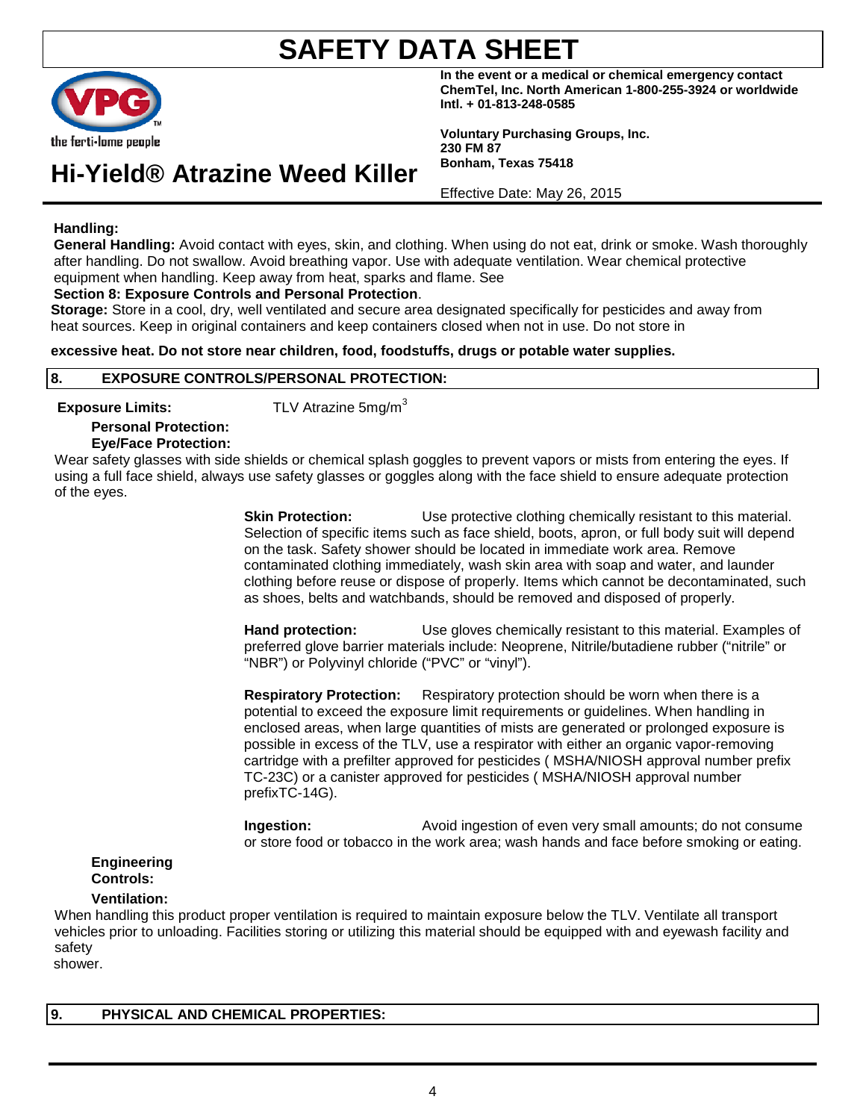

**In the event or a medical or chemical emergency contact ChemTel, Inc. North American 1-800-255-3924 or worldwide Intl. + 01-813-248-0585**

**Voluntary Purchasing Groups, Inc. 230 FM 87 Bonham, Texas 75418**

**Hi-Yield® Atrazine Weed Killer**

Effective Date: May 26, 2015

#### **Handling:**

**General Handling:** Avoid contact with eyes, skin, and clothing. When using do not eat, drink or smoke. Wash thoroughly after handling. Do not swallow. Avoid breathing vapor. Use with adequate ventilation. Wear chemical protective equipment when handling. Keep away from heat, sparks and flame. See

**Section 8: Exposure Controls and Personal Protection**.

**Storage:** Store in a cool, dry, well ventilated and secure area designated specifically for pesticides and away from heat sources. Keep in original containers and keep containers closed when not in use. Do not store in

**excessive heat. Do not store near children, food, foodstuffs, drugs or potable water supplies.**

### **8. EXPOSURE CONTROLS/PERSONAL PROTECTION:**

**Exposure Limits:** TLV Atrazine 5mg/m<sup>3</sup>

#### **Personal Protection: Eye/Face Protection:**

Wear safety glasses with side shields or chemical splash goggles to prevent vapors or mists from entering the eyes. If using a full face shield, always use safety glasses or goggles along with the face shield to ensure adequate protection of the eyes.

> **Skin Protection:** Use protective clothing chemically resistant to this material. Selection of specific items such as face shield, boots, apron, or full body suit will depend on the task. Safety shower should be located in immediate work area. Remove contaminated clothing immediately, wash skin area with soap and water, and launder clothing before reuse or dispose of properly. Items which cannot be decontaminated, such as shoes, belts and watchbands, should be removed and disposed of properly.

> **Hand protection:** Use gloves chemically resistant to this material. Examples of preferred glove barrier materials include: Neoprene, Nitrile/butadiene rubber ("nitrile" or "NBR") or Polyvinyl chloride ("PVC" or "vinyl").

**Respiratory Protection:** Respiratory protection should be worn when there is a potential to exceed the exposure limit requirements or guidelines. When handling in enclosed areas, when large quantities of mists are generated or prolonged exposure is possible in excess of the TLV, use a respirator with either an organic vapor-removing cartridge with a prefilter approved for pesticides ( MSHA/NIOSH approval number prefix TC-23C) or a canister approved for pesticides ( MSHA/NIOSH approval number prefixTC-14G).

**Ingestion:** Avoid ingestion of even very small amounts; do not consume or store food or tobacco in the work area; wash hands and face before smoking or eating.

#### **Engineering Controls:**

#### **Ventilation:**

When handling this product proper ventilation is required to maintain exposure below the TLV. Ventilate all transport vehicles prior to unloading. Facilities storing or utilizing this material should be equipped with and eyewash facility and safety

shower.

**9. PHYSICAL AND CHEMICAL PROPERTIES:**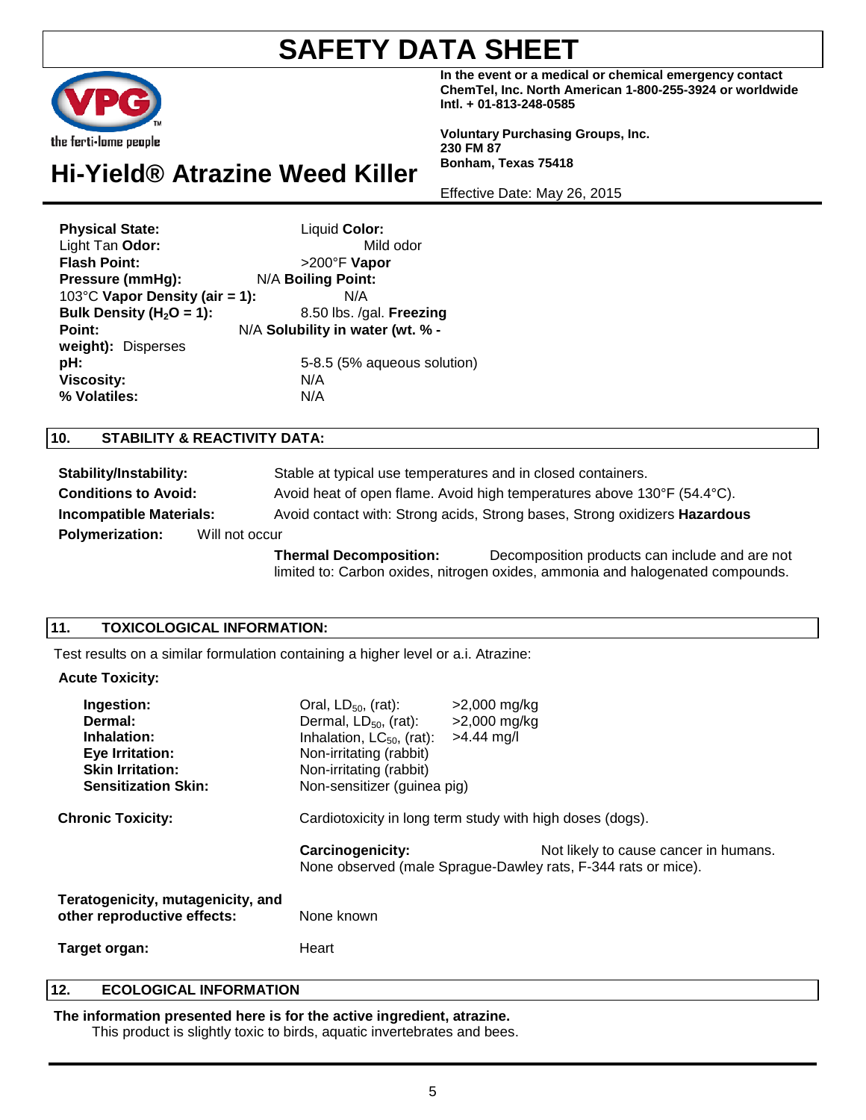**In the event or a medical or chemical emergency contact ChemTel, Inc. North American 1-800-255-3924 or worldwide Intl. + 01-813-248-0585**

**Voluntary Purchasing Groups, Inc. 230 FM 87 Bonham, Texas 75418**

Effective Date: May 26, 2015

### **Hi-Yield® Atrazine Weed Killer**

| <b>Physical State:</b>         | Liquid Color:                    |
|--------------------------------|----------------------------------|
| Light Tan Odor:                | Mild odor                        |
| <b>Flash Point:</b>            | >200°F Vapor                     |
| Pressure (mmHg):               | N/A Boiling Point:               |
| 103°C Vapor Density (air = 1): | N/A                              |
| Bulk Density ( $H_2O = 1$ ):   | 8.50 lbs. /gal. Freezing         |
| Point:                         | N/A Solubility in water (wt. % - |
| weight): Disperses             |                                  |
| pH:                            | 5-8.5 (5% aqueous solution)      |
| <b>Viscosity:</b>              | N/A                              |
| % Volatiles:                   | N/A                              |

#### **10. STABILITY & REACTIVITY DATA:**

| <b>Stability/Instability:</b>            |  | Stable at typical use temperatures and in closed containers.                      |                                                                                                                                  |
|------------------------------------------|--|-----------------------------------------------------------------------------------|----------------------------------------------------------------------------------------------------------------------------------|
| <b>Conditions to Avoid:</b>              |  |                                                                                   | Avoid heat of open flame. Avoid high temperatures above 130°F (54.4°C).                                                          |
| <b>Incompatible Materials:</b>           |  | Avoid contact with: Strong acids, Strong bases, Strong oxidizers <b>Hazardous</b> |                                                                                                                                  |
| <b>Polymerization:</b><br>Will not occur |  |                                                                                   |                                                                                                                                  |
|                                          |  | <b>Thermal Decomposition:</b>                                                     | Decomposition products can include and are not<br>limited to: Carbon oxides, nitrogen oxides, ammonia and halogenated compounds. |

#### **11. TOXICOLOGICAL INFORMATION:**

Test results on a similar formulation containing a higher level or a.i. Atrazine:

#### **Acute Toxicity:**

| Ingestion:<br>Dermal:<br>Inhalation:<br>Eye Irritation:<br><b>Skin Irritation:</b><br><b>Sensitization Skin:</b> | Oral, $LD_{50}$ , (rat):<br>Dermal, $LD_{50}$ , (rat):<br>Inhalation, $LC_{50}$ , (rat):<br>Non-irritating (rabbit)<br>Non-irritating (rabbit)<br>Non-sensitizer (guinea pig) | $>2,000$ mg/kg<br>$>2,000$ mg/kg<br>$>4.44$ mg/l |                                                                                                        |
|------------------------------------------------------------------------------------------------------------------|-------------------------------------------------------------------------------------------------------------------------------------------------------------------------------|--------------------------------------------------|--------------------------------------------------------------------------------------------------------|
| <b>Chronic Toxicity:</b>                                                                                         | Cardiotoxicity in long term study with high doses (dogs).                                                                                                                     |                                                  |                                                                                                        |
|                                                                                                                  | <b>Carcinogenicity:</b>                                                                                                                                                       |                                                  | Not likely to cause cancer in humans.<br>None observed (male Sprague-Dawley rats, F-344 rats or mice). |
| Teratogenicity, mutagenicity, and<br>other reproductive effects:                                                 | None known                                                                                                                                                                    |                                                  |                                                                                                        |
| Target organ:                                                                                                    | Heart                                                                                                                                                                         |                                                  |                                                                                                        |

#### **12. ECOLOGICAL INFORMATION**

**The information presented here is for the active ingredient, atrazine.**

This product is slightly toxic to birds, aquatic invertebrates and bees.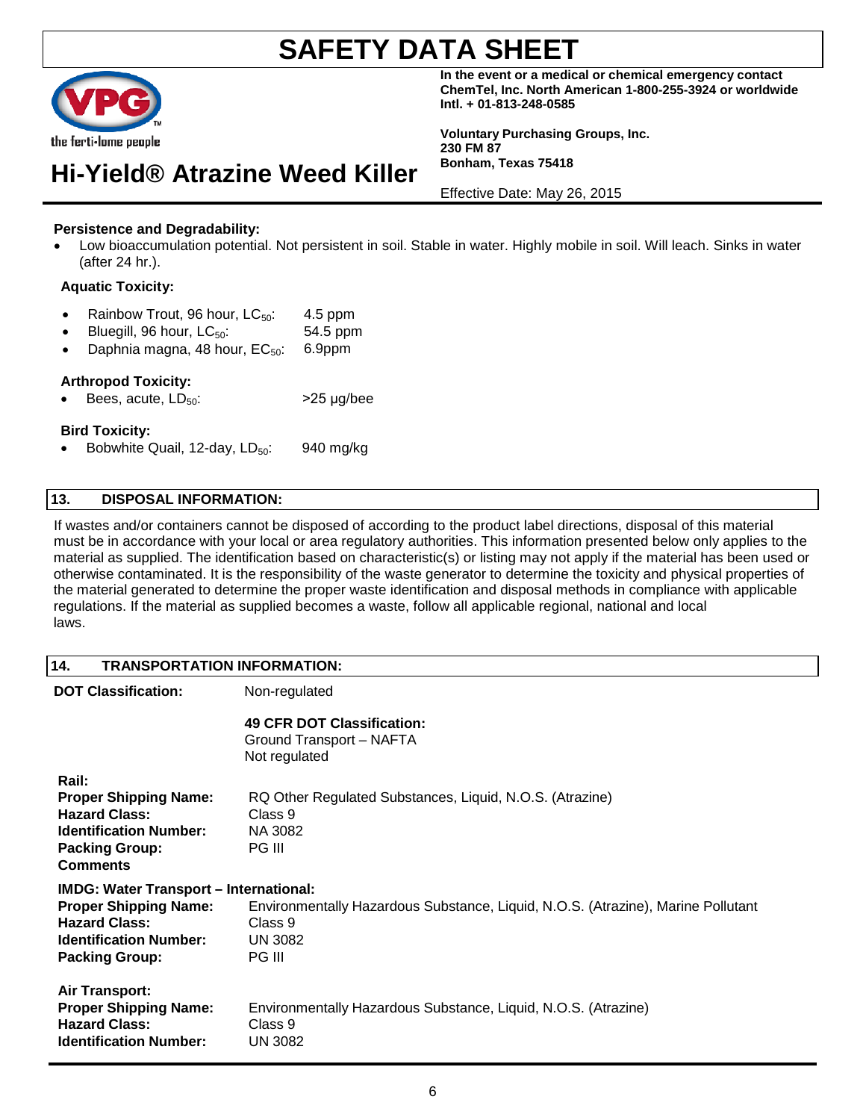

**In the event or a medical or chemical emergency contact ChemTel, Inc. North American 1-800-255-3924 or worldwide Intl. + 01-813-248-0585**

**Voluntary Purchasing Groups, Inc. 230 FM 87 Bonham, Texas 75418**

Effective Date: May 26, 2015

### **Persistence and Degradability:**

• Low bioaccumulation potential. Not persistent in soil. Stable in water. Highly mobile in soil. Will leach. Sinks in water (after 24 hr.).

#### **Aquatic Toxicity:**

• Rainbow Trout, 96 hour,  $LC_{50}$ : 4.5 ppm

**Hi-Yield® Atrazine Weed Killer**

- Bluegill,  $96$  hour,  $LC_{50}$ : 54.5 ppm
- Daphnia magna, 48 hour,  $EC_{50}$ : 6.9ppm

#### **Arthropod Toxicity:**

Bees, acute,  $LD_{50}$ :  $>25 \mu q/bee$ 

#### **Bird Toxicity:**

• Bobwhite Quail, 12-day,  $LD_{50}$ : 940 mg/kg

#### **13. DISPOSAL INFORMATION:**

If wastes and/or containers cannot be disposed of according to the product label directions, disposal of this material must be in accordance with your local or area regulatory authorities. This information presented below only applies to the material as supplied. The identification based on characteristic(s) or listing may not apply if the material has been used or otherwise contaminated. It is the responsibility of the waste generator to determine the toxicity and physical properties of the material generated to determine the proper waste identification and disposal methods in compliance with applicable regulations. If the material as supplied becomes a waste, follow all applicable regional, national and local laws.

#### **14. TRANSPORTATION INFORMATION:**

| <b>DOT Classification:</b>                                                                                                                                      | Non-regulated                                                                                                           |  |  |
|-----------------------------------------------------------------------------------------------------------------------------------------------------------------|-------------------------------------------------------------------------------------------------------------------------|--|--|
|                                                                                                                                                                 | 49 CFR DOT Classification:<br>Ground Transport - NAFTA<br>Not regulated                                                 |  |  |
| Rail:<br><b>Proper Shipping Name:</b><br><b>Hazard Class:</b><br><b>Identification Number:</b><br><b>Packing Group:</b><br><b>Comments</b>                      | RQ Other Regulated Substances, Liquid, N.O.S. (Atrazine)<br>Class 9<br>NA 3082<br>PG III                                |  |  |
| <b>IMDG: Water Transport - International:</b><br><b>Proper Shipping Name:</b><br><b>Hazard Class:</b><br><b>Identification Number:</b><br><b>Packing Group:</b> | Environmentally Hazardous Substance, Liquid, N.O.S. (Atrazine), Marine Pollutant<br>Class 9<br><b>UN 3082</b><br>PG III |  |  |
| <b>Air Transport:</b><br><b>Proper Shipping Name:</b><br><b>Hazard Class:</b><br><b>Identification Number:</b>                                                  | Environmentally Hazardous Substance, Liquid, N.O.S. (Atrazine)<br>Class 9<br>UN 3082                                    |  |  |